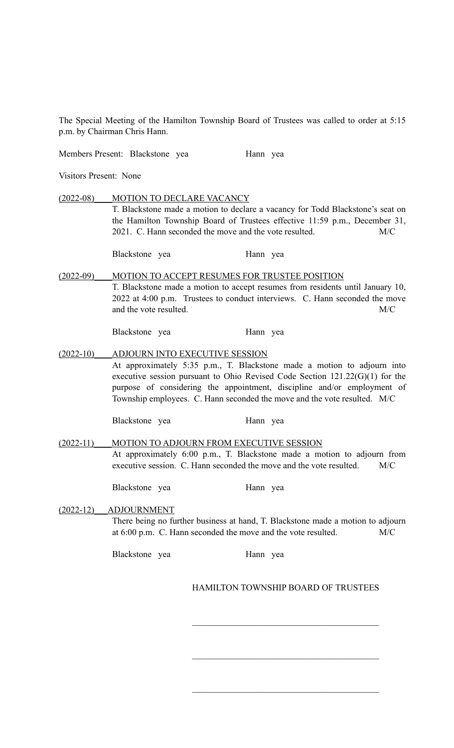The Special Meeting of the Hamilton Township Board of Trustees was called to order at 5:15 p.m. by Chairman Chris Hann.

Members Present: Blackstone yea Hann yea

Visitors Present: None

(2022-08)\_\_\_\_MOTION TO DECLARE VACANCY T. Blackstone made a motion to declare a vacancy for Todd Blackstone's seat on the Hamilton Township Board of Trustees effective 11:59 p.m., December 31, 2021. C. Hann seconded the move and the vote resulted. M/C Blackstone yea Hann yea

(2022-09)\_\_\_\_MOTION TO ACCEPT RESUMES FOR TRUSTEE POSITION T. Blackstone made a motion to accept resumes from residents until January 10, 2022 at 4:00 p.m. Trustees to conduct interviews. C. Hann seconded the move and the vote resulted. M/C

Blackstone yea Hann yea

(2022-10)\_\_\_\_ADJOURN INTO EXECUTIVE SESSION At approximately 5:35 p.m., T. Blackstone made a motion to adjourn into executive session pursuant to Ohio Revised Code Section 121.22(G)(1) for the purpose of considering the appointment, discipline and/or employment of Township employees. C. Hann seconded the move and the vote resulted. M/C

Blackstone yea Hann yea

(2022-11) MOTION TO ADJOURN FROM EXECUTIVE SESSION At approximately 6:00 p.m., T. Blackstone made a motion to adjourn from executive session. C. Hann seconded the move and the vote resulted. M/C

Blackstone yea Hann yea

## (2022-12)\_\_\_ADJOURNMENT

There being no further business at hand, T. Blackstone made a motion to adjourn at 6:00 p.m. C. Hann seconded the move and the vote resulted. M/C

Blackstone yea Hann yea

## HAMILTON TOWNSHIP BOARD OF TRUSTEES

 $\mathcal{L}_\text{max}$  , and the set of the set of the set of the set of the set of the set of the set of the set of the set of the set of the set of the set of the set of the set of the set of the set of the set of the set of the

 $\mathcal{L}_\text{max}$  , and the set of the set of the set of the set of the set of the set of the set of the set of the set of the set of the set of the set of the set of the set of the set of the set of the set of the set of the

 $\mathcal{L}_\text{max}$  , and the set of the set of the set of the set of the set of the set of the set of the set of the set of the set of the set of the set of the set of the set of the set of the set of the set of the set of the